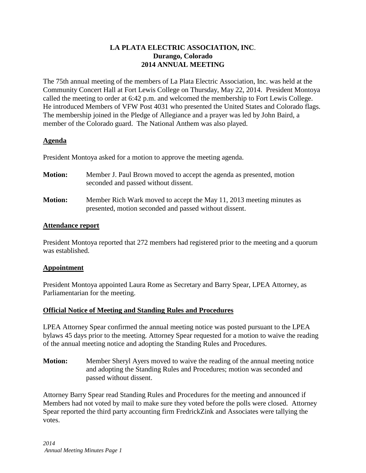#### **LA PLATA ELECTRIC ASSOCIATION, INC**. **Durango, Colorado 2014 ANNUAL MEETING**

The 75th annual meeting of the members of La Plata Electric Association, Inc. was held at the Community Concert Hall at Fort Lewis College on Thursday, May 22, 2014. President Montoya called the meeting to order at 6:42 p.m. and welcomed the membership to Fort Lewis College. He introduced Members of VFW Post 4031 who presented the United States and Colorado flags. The membership joined in the Pledge of Allegiance and a prayer was led by John Baird, a member of the Colorado guard. The National Anthem was also played.

## **Agenda**

President Montoya asked for a motion to approve the meeting agenda.

| <b>Motion:</b> | Member J. Paul Brown moved to accept the agenda as presented, motion<br>seconded and passed without dissent.                   |
|----------------|--------------------------------------------------------------------------------------------------------------------------------|
| <b>Motion:</b> | Member Rich Wark moved to accept the May 11, 2013 meeting minutes as<br>presented, motion seconded and passed without dissent. |

## **Attendance report**

President Montoya reported that 272 members had registered prior to the meeting and a quorum was established.

# **Appointment**

President Montoya appointed Laura Rome as Secretary and Barry Spear, LPEA Attorney, as Parliamentarian for the meeting.

# **Official Notice of Meeting and Standing Rules and Procedures**

LPEA Attorney Spear confirmed the annual meeting notice was posted pursuant to the LPEA bylaws 45 days prior to the meeting. Attorney Spear requested for a motion to waive the reading of the annual meeting notice and adopting the Standing Rules and Procedures.

**Motion:** Member Sheryl Ayers moved to waive the reading of the annual meeting notice and adopting the Standing Rules and Procedures; motion was seconded and passed without dissent.

Attorney Barry Spear read Standing Rules and Procedures for the meeting and announced if Members had not voted by mail to make sure they voted before the polls were closed. Attorney Spear reported the third party accounting firm FredrickZink and Associates were tallying the votes.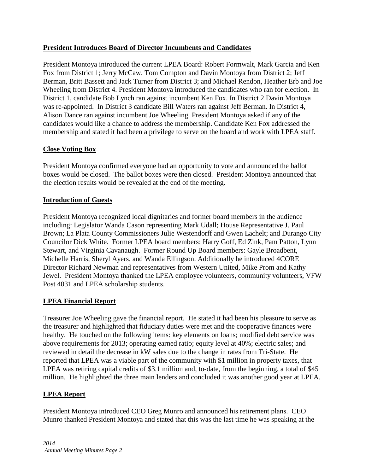## **President Introduces Board of Director Incumbents and Candidates**

President Montoya introduced the current LPEA Board: Robert Formwalt, Mark Garcia and Ken Fox from District 1; Jerry McCaw, Tom Compton and Davin Montoya from District 2; Jeff Berman, Britt Bassett and Jack Turner from District 3; and Michael Rendon, Heather Erb and Joe Wheeling from District 4. President Montoya introduced the candidates who ran for election. In District 1, candidate Bob Lynch ran against incumbent Ken Fox. In District 2 Davin Montoya was re-appointed. In District 3 candidate Bill Waters ran against Jeff Berman. In District 4, Alison Dance ran against incumbent Joe Wheeling. President Montoya asked if any of the candidates would like a chance to address the membership. Candidate Ken Fox addressed the membership and stated it had been a privilege to serve on the board and work with LPEA staff.

## **Close Voting Box**

President Montoya confirmed everyone had an opportunity to vote and announced the ballot boxes would be closed. The ballot boxes were then closed. President Montoya announced that the election results would be revealed at the end of the meeting.

## **Introduction of Guests**

President Montoya recognized local dignitaries and former board members in the audience including: Legislator Wanda Cason representing Mark Udall; House Representative J. Paul Brown; La Plata County Commissioners Julie Westendorff and Gwen Lachelt; and Durango City Councilor Dick White. Former LPEA board members: Harry Goff, Ed Zink, Pam Patton, Lynn Stewart, and Virginia Cavanaugh. Former Round Up Board members: Gayle Broadbent, Michelle Harris, Sheryl Ayers, and Wanda Ellingson. Additionally he introduced 4CORE Director Richard Newman and representatives from Western United, Mike Prom and Kathy Jewel. President Montoya thanked the LPEA employee volunteers, community volunteers, VFW Post 4031 and LPEA scholarship students.

#### **LPEA Financial Report**

Treasurer Joe Wheeling gave the financial report. He stated it had been his pleasure to serve as the treasurer and highlighted that fiduciary duties were met and the cooperative finances were healthy. He touched on the following items: key elements on loans; modified debt service was above requirements for 2013; operating earned ratio; equity level at 40%; electric sales; and reviewed in detail the decrease in kW sales due to the change in rates from Tri-State. He reported that LPEA was a viable part of the community with \$1 million in property taxes, that LPEA was retiring capital credits of \$3.1 million and, to-date, from the beginning, a total of \$45 million. He highlighted the three main lenders and concluded it was another good year at LPEA.

# **LPEA Report**

President Montoya introduced CEO Greg Munro and announced his retirement plans. CEO Munro thanked President Montoya and stated that this was the last time he was speaking at the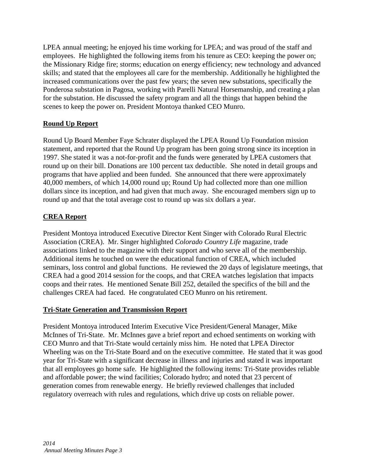LPEA annual meeting; he enjoyed his time working for LPEA; and was proud of the staff and employees. He highlighted the following items from his tenure as CEO: keeping the power on; the Missionary Ridge fire; storms; education on energy efficiency; new technology and advanced skills; and stated that the employees all care for the membership. Additionally he highlighted the increased communications over the past few years; the seven new substations, specifically the Ponderosa substation in Pagosa, working with Parelli Natural Horsemanship, and creating a plan for the substation. He discussed the safety program and all the things that happen behind the scenes to keep the power on. President Montoya thanked CEO Munro.

# **Round Up Report**

Round Up Board Member Faye Schrater displayed the LPEA Round Up Foundation mission statement, and reported that the Round Up program has been going strong since its inception in 1997. She stated it was a not-for-profit and the funds were generated by LPEA customers that round up on their bill. Donations are 100 percent tax deductible. She noted in detail groups and programs that have applied and been funded. She announced that there were approximately 40,000 members, of which 14,000 round up; Round Up had collected more than one million dollars since its inception, and had given that much away. She encouraged members sign up to round up and that the total average cost to round up was six dollars a year.

# **CREA Report**

President Montoya introduced Executive Director Kent Singer with Colorado Rural Electric Association (CREA). Mr. Singer highlighted *Colorado Country Life* magazine, trade associations linked to the magazine with their support and who serve all of the membership. Additional items he touched on were the educational function of CREA, which included seminars, loss control and global functions. He reviewed the 20 days of legislature meetings, that CREA had a good 2014 session for the coops, and that CREA watches legislation that impacts coops and their rates. He mentioned Senate Bill 252, detailed the specifics of the bill and the challenges CREA had faced. He congratulated CEO Munro on his retirement.

#### **Tri-State Generation and Transmission Report**

President Montoya introduced Interim Executive Vice President/General Manager, Mike McInnes of Tri-State. Mr. McInnes gave a brief report and echoed sentiments on working with CEO Munro and that Tri-State would certainly miss him. He noted that LPEA Director Wheeling was on the Tri-State Board and on the executive committee. He stated that it was good year for Tri-State with a significant decrease in illness and injuries and stated it was important that all employees go home safe. He highlighted the following items: Tri-State provides reliable and affordable power; the wind facilities; Colorado hydro; and noted that 23 percent of generation comes from renewable energy. He briefly reviewed challenges that included regulatory overreach with rules and regulations, which drive up costs on reliable power.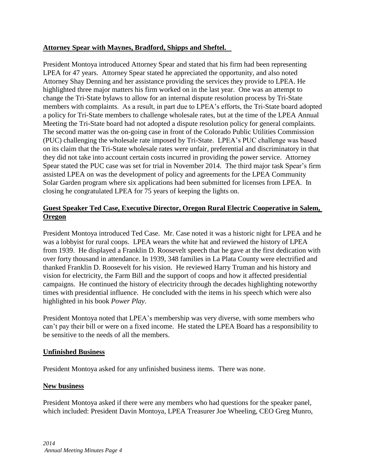#### **Attorney Spear with Maynes, Bradford, Shipps and Sheftel.**

President Montoya introduced Attorney Spear and stated that his firm had been representing LPEA for 47 years. Attorney Spear stated he appreciated the opportunity, and also noted Attorney Shay Denning and her assistance providing the services they provide to LPEA. He highlighted three major matters his firm worked on in the last year. One was an attempt to change the Tri-State bylaws to allow for an internal dispute resolution process by Tri-State members with complaints. As a result, in part due to LPEA's efforts, the Tri-State board adopted a policy for Tri-State members to challenge wholesale rates, but at the time of the LPEA Annual Meeting the Tri-State board had not adopted a dispute resolution policy for general complaints. The second matter was the on-going case in front of the Colorado Public Utilities Commission (PUC) challenging the wholesale rate imposed by Tri-State. LPEA's PUC challenge was based on its claim that the Tri-State wholesale rates were unfair, preferential and discriminatory in that they did not take into account certain costs incurred in providing the power service. Attorney Spear stated the PUC case was set for trial in November 2014. The third major task Spear's firm assisted LPEA on was the development of policy and agreements for the LPEA Community Solar Garden program where six applications had been submitted for licenses from LPEA. In closing he congratulated LPEA for 75 years of keeping the lights on.

# **Guest Speaker Ted Case, Executive Director, Oregon Rural Electric Cooperative in Salem, Oregon**

President Montoya introduced Ted Case. Mr. Case noted it was a historic night for LPEA and he was a lobbyist for rural coops. LPEA wears the white hat and reviewed the history of LPEA from 1939. He displayed a Franklin D. Roosevelt speech that he gave at the first dedication with over forty thousand in attendance. In 1939, 348 families in La Plata County were electrified and thanked Franklin D. Roosevelt for his vision. He reviewed Harry Truman and his history and vision for electricity, the Farm Bill and the support of coops and how it affected presidential campaigns. He continued the history of electricity through the decades highlighting noteworthy times with presidential influence. He concluded with the items in his speech which were also highlighted in his book *Power Play*.

President Montoya noted that LPEA's membership was very diverse, with some members who can't pay their bill or were on a fixed income. He stated the LPEA Board has a responsibility to be sensitive to the needs of all the members.

#### **Unfinished Business**

President Montoya asked for any unfinished business items. There was none.

#### **New business**

President Montoya asked if there were any members who had questions for the speaker panel, which included: President Davin Montoya, LPEA Treasurer Joe Wheeling, CEO Greg Munro,